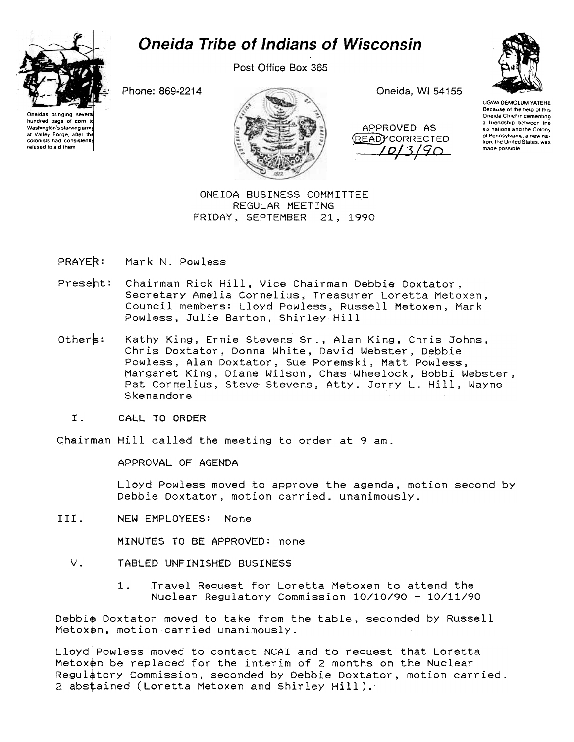

das bringing severa

hundred bags of corn to

Washington's starving arm

at Valley Forge, after the

colonists had consistent

refused to aid them

Post Office Box 365

Phone: 869-2214



Oneida, WI 54155

APPROVED AS **READYCORRECTED** 10/3/90



UGWA DEMOLUM YATEHE Because of the help of this Oneida Chief in cementing a friendship between the six nations and the Colony of Pennsylvania, a new nation, the United States, was made possible

ONEIDA BUSINESS COMMITTEE REGULAR MEETING FRIDAY, SEPTEMBER 21, 1990

PRAYER: Mark N. Powless

- Present: Chairman Rick Hill, Vice Chairman Debbie Doxtator, Secretary Amelia Cornelius, Treasurer Loretta Metoxen, Council members: Lloyd Powless, Russell Metoxen, Mark Powless, Julie Barton, Shirley Hill
- Others: Kathy King, Ernie Stevens Sr., Alan King, Chris Johns, Chris Doxtator, Donna White, David Webster, Debbie Powless, Alan Doxtator, Sue Poremski, Matt Powless, Margaret King, Diane Wilson, Chas Wheelock, Bobbi Webster, Pat Cornelius, Steve Stevens, Atty. Jerry L. Hill, Wayne Skenandore
	- $T$ . CALL TO ORDER

Chairman Hill called the meeting to order at 9 am.

APPROVAL OF AGENDA

Lloyd Powless moved to approve the agenda, motion second by Debbie Doxtator, motion carried. unanimously.

III. NEW EMPLOYEES: None

MINUTES TO BE APPROVED: none

- $V_{\pm}$ TABLED UNFINISHED BUSINESS
	- $1.$ Travel Request for Loretta Metoxen to attend the Nuclear Regulatory Commission 10/10/90 - 10/11/90

Debbie Doxtator moved to take from the table, seconded by Russell Metoxen, motion carried unanimously.

Lloyd Powless moved to contact NCAI and to request that Loretta Metoxen be replaced for the interim of 2 months on the Nuclear Regulatory Commission, seconded by Debbie Doxtator, motion carried. 2 abstained (Loretta Metoxen and Shirley Hill).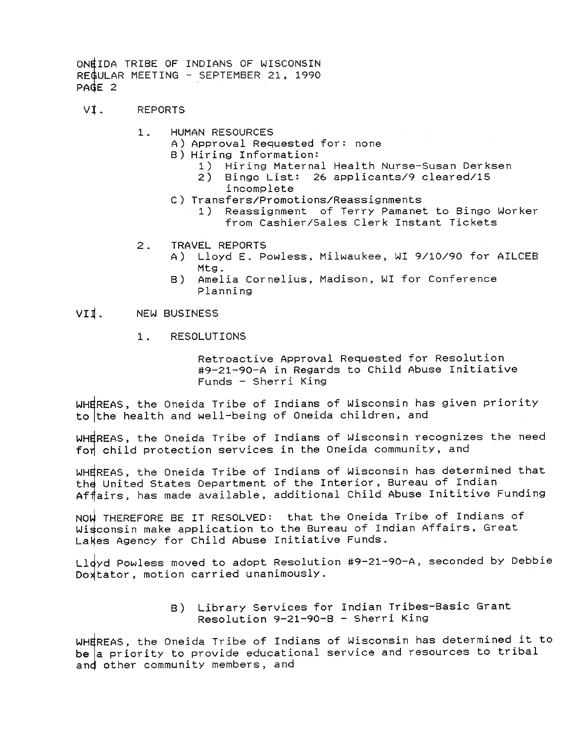- VI. REPORTS
	- 1. HUMAN RESOURCES
		- A) Approval Requested for: none
		- B) Hiring Information:
			- 1) Hiring Maternal Health Nurse-Susan Derksen
			- 2) Bingo List: 26 applicants/9 cleared/iS
				- incomplete
		- C) Transfers/Promotions/Reassignments
			- 1) Reassignment of Terry Pamanet to Bingo Worker from Cashier/Sales Clerk Instant Tickets
	- $2<sup>1</sup>$ TRAVEL REPORTS
		- A) Lloyd E. Powless, Milwaukee, WI 9/10/90 for AILCEB
		- Mtg.<br>B) Amel Amelia Cornelius, Madison, WI for Conference Planning

## VII. NEW BUSINESS

1 . RESOLUTIONS

Retroactive Approval Requested for Resolution #9~21-90-A in Regards to Child Abuse Initiative Funds - Sherri King

WHEREAS, the Oneida Tribe of Indians of Wisconsin has given priority to the health and well-being of Oneida children, and

WHEREAS, the Oneida Tribe of Indians of Wisconsin recognizes the need for child protection services in the Oneida community, and

WHEREAS, the Oneida Tribe of Indians of Wisconsin has determined that the United States Department of the Interior, Bureau of Indian Affairs, has made available, additional Child Abuse Inititive Funding

NOW THEREFORE BE IT RESOLVED: that the Oneida Tribe of Indians of Wisconsin make application to the Bureau of Indian Affairs, Great Lakes Agency for Child Abuse Initiative Funds.

Lldyd Powless moved to adopt Resolution #9-21-90-A, seconded by Debbie Doxtator, motion carried unanimously.

> B) Library Services for Indian Tribes-Basic Gran Resolution 9-21-90-B - Sherri King

WHEREAS, the Oneida Tribe of Indians of Wisconsin has determined it to be a priority to provide educational service and resources to tribal and other community members, and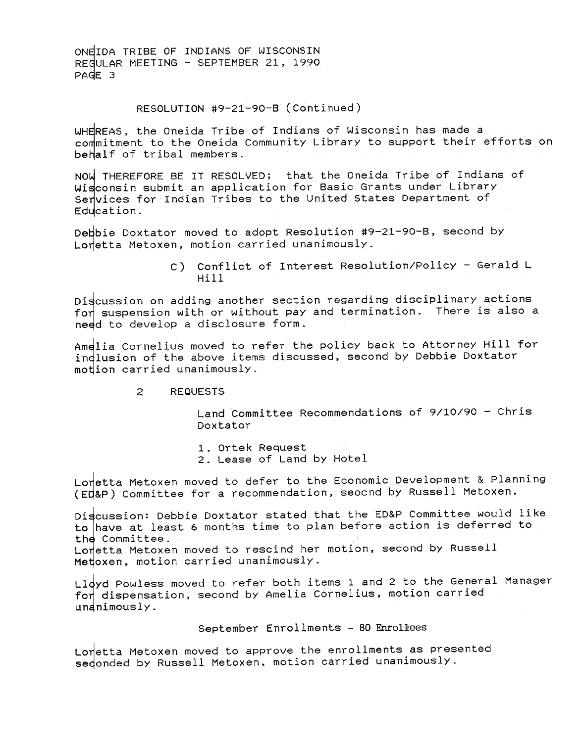## RESOLUTION #9-21-90-B (Continued)

WHEREAS, the Oneida Tribe of Indians of Wisconsin has made a commitment to the Oneida Community Library to support their efforts on behalf of tribal members.

NOW THEREFORE BE IT RESOLVED; that the Oneida Tribe of Indians of Wisconsin submit an application for Basic Grants under Library Senvices for Indian Tribes to the United States Department of Education.

Debbie Doxtator moved to adopt Resolution #9-21-90-B, second by Loretta Metoxen, motion carried unanimously.

> C) Conflict of Interest Resolution/Policy - Gerald L  $H11$

Discussion on adding another section regarding disciplinary actions for suspension with or without pay and termination. There is also a need to develop a disclosure form.

Amelia Cornelius moved to refer the policy back to Attorney Hill for indlusion of the above items discussed, second by Debbie Doxtator motion carried unanimously.

## $\mathcal{P}$ **REQUESTS**

Land Committee Recommendations of 9/10/90 - Chris Doxtator

1. Ortek Request 2. Lease of Land by Hotel

Lonetta Metoxen moved to defer to the Economic Development & Planning (ED&P) Committee for a recommendation, seocnd by Russell Metoxen.

Discussion: Debbie Doxtator stated that the ED&P Committee would like to have at least 6 months time to plan before action is deferred to the Committee. Lonetta Metoxen moved to rescind her motion, second by Russell Metoxen, motion carried unanimously.

Lldyd Powless moved to refer both items 1 and 2 to the General Manager for dispensation, second by Amelia Cornelius, motion carried undnimously.

## September Enrollments - 80 Enroliees

Lonetta Metoxen moved to approve the enrollments as presented sedonded by Russell Metoxen, motion carried unanimously.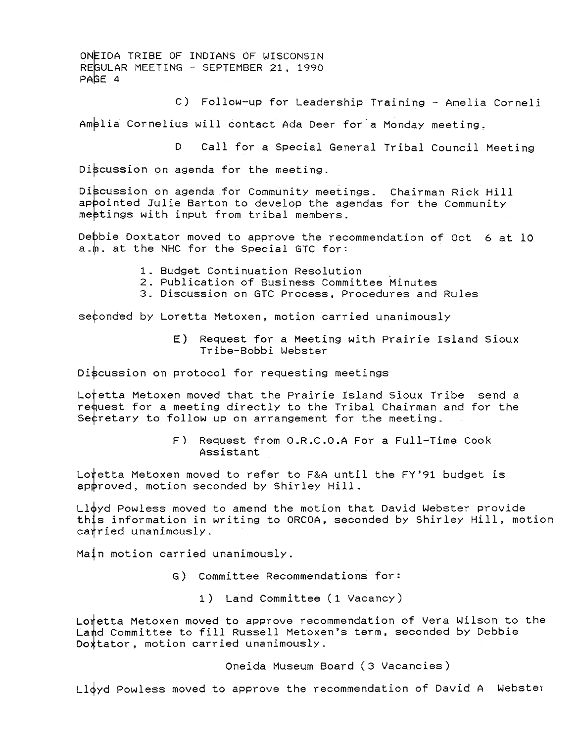c) Follow-up for Leadership Training -Amelia Cornell.

Amelia Cornelius will contact Ada Deer for a Monday meeting.

D Call for a Special General Tribal Council Meeting

Discussion on agenda for the meeting.

Discussion on agenda for Community meetings. Chairman Rick Hill appointed Julie Barton to develop the agendas for the Community meetings with input from tribal members.

Deþbie Doxtator moved to approve the recommendation of Oct 6 at 10 a.m. at the NHC for the Special GTC for:

- 1. Budget Continuation Resolution
- 2. Publication of Business Committee Minutes
- 3. Discussion on GTC Process, Procedures and Rules

sefonded by Loretta Metoxen, motion carried unanimously

E) Request for a Meeting with Prairie Island Sioux Tribe-Bobbi Webster

Discussion on protocol for requesting meetings

Lotetta Metoxen moved that the Prairie Island Sioux Tribe send a re quest for a meeting directly to the Tribal Chairman and for the Secretary to follow up on arrangement for the meeting.

> F) Request from O.R.C.O.A For a Full-Time Cook Assistant

Lo†etta Metoxen moved to refer to F&A until the FY'91 budget i: approved, motion seconded by Shirley Hill.

 $L1\phi$ yd Powless moved to amend the motion that David Webster provide this information in writing to ORCOA, seconded by Shirley Hill, motion catried unanimously.

Main motion carried unanimously.

- G) Committee Recommendations for:
	- 1 ) Land Committee (1 Vacancy)

Lonetta Metoxen moved to approve recommendation of Vera Wilson to the Land Committee to fill Russell Metoxen's term, seconded by Debbie Doxtator, motion carried unanimously.

Oneida Museum Board (3 Vacancies)

Lloyd Powless moved to approve the recommendation of David A Webster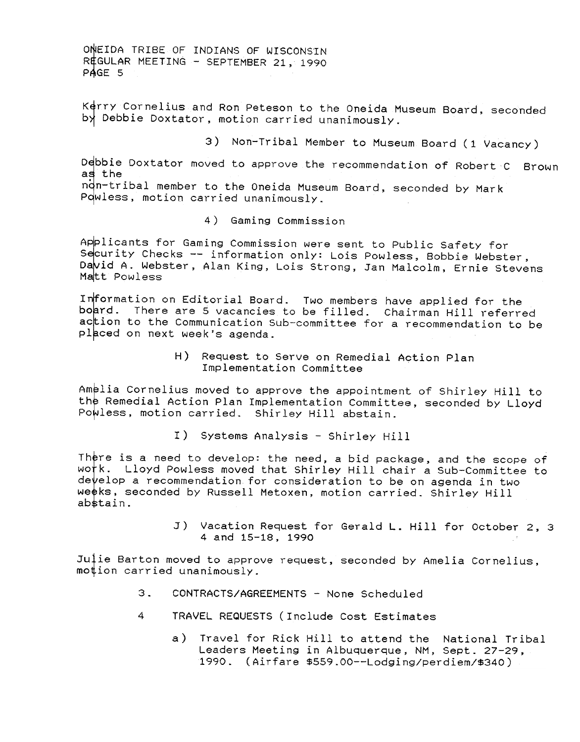Kerry Cornelius and Ron Peteson to the Oneida Museum Board, seconded  $b\lambda$  Debbie Doxtator, motion carried unanimously.

3) Non-Tribal Member to Museum Board (1 Vacancy)

Debbie Doxtator moved to approve the recommendation of Robert C Brown as the

ndn-tribal member to the Oneida Museum Board, seconded by Mark Powless, motion carried unanimously.

4 ) Gaming Commission

Applicants for Gaming Commission were sent to Public Safety for Security Checks -- information only: Lois Powless, Bobbie Webster, David A. Webster, Alan King, Lois Strong, Jan Malcolm, Ernie Stevens Matt Powless

Information on Editorial Board. Two members have applied for the board. There are 5 vacancies to be filled. Chairman Hill referred action to the Communication Sub-committee for a recommendation to be placed on next week's agenda.

> H) Request to Serve on Remedial Action Plan Implementation Committee

Amelia Cornelius moved to approve the appointment of Shirley Hill to the Remedial Action Plan Implementation Committee, seconded by Lloyd Powless, motion carried. Shirley Hill abstain.

I) Systems Analysis - Shirley Hill

There is a need to develop: the need, a bid package, and the scope of work. Lloyd Powless moved that Shirley Hill chair a Sub-Committee to develop a recommendation for consideration to be on agenda in two weeks, seconded by Russell Metoxen, motion carried. Shirley Hill abstain.

> J) Vacation Request for Gerald L. Hill for October 2, 3 4 and 15-18, 1990

Julie Barton moved to approve request, seconded by Amelia Cornelius, motion carried unanimously.

- $3.$ CONTRACTS/AGREEMENTS -None Scheduled
- 4 TRAVEL REQUESTS (Include Cost Estimates
	- a) Travel for Rick Hill to attend the National Tribal Leaders Meeting in Albuquerque, NM, Sept. 27-29, 1990. (Airfare \$559.00--Lodging/perdiem/\$340)